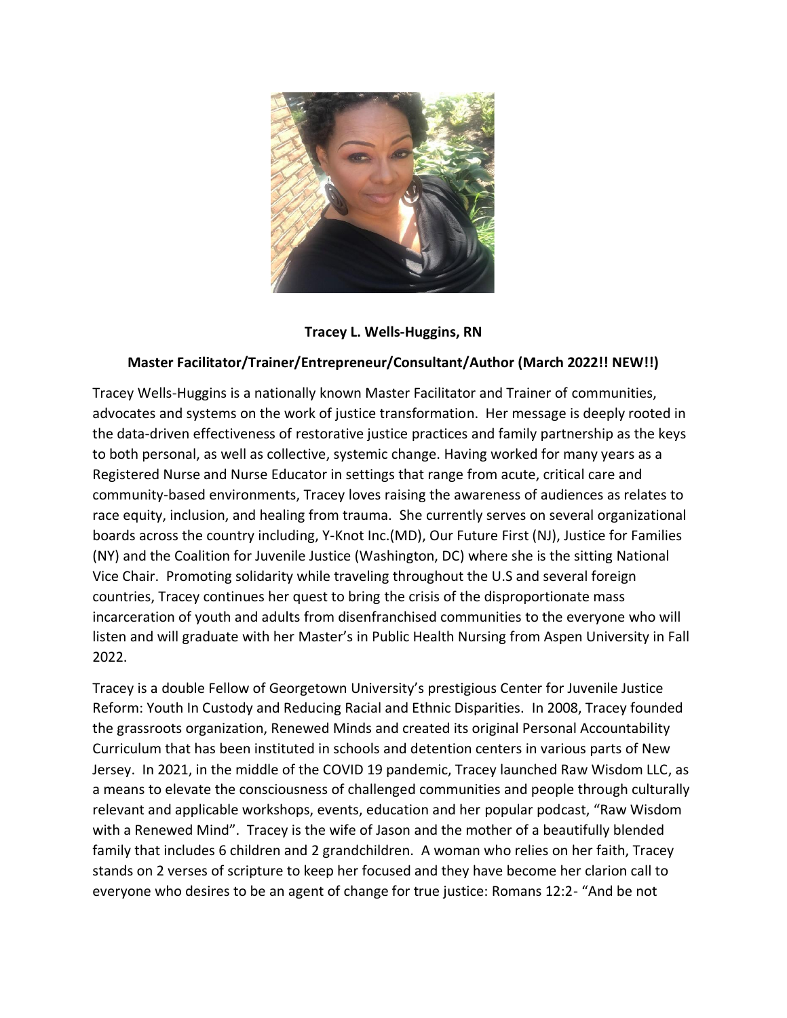

## **Tracey L. Wells-Huggins, RN**

## **Master Facilitator/Trainer/Entrepreneur/Consultant/Author (March 2022!! NEW!!)**

Tracey Wells-Huggins is a nationally known Master Facilitator and Trainer of communities, advocates and systems on the work of justice transformation. Her message is deeply rooted in the data-driven effectiveness of restorative justice practices and family partnership as the keys to both personal, as well as collective, systemic change. Having worked for many years as a Registered Nurse and Nurse Educator in settings that range from acute, critical care and community-based environments, Tracey loves raising the awareness of audiences as relates to race equity, inclusion, and healing from trauma. She currently serves on several organizational boards across the country including, Y-Knot Inc.(MD), Our Future First (NJ), Justice for Families (NY) and the Coalition for Juvenile Justice (Washington, DC) where she is the sitting National Vice Chair. Promoting solidarity while traveling throughout the U.S and several foreign countries, Tracey continues her quest to bring the crisis of the disproportionate mass incarceration of youth and adults from disenfranchised communities to the everyone who will listen and will graduate with her Master's in Public Health Nursing from Aspen University in Fall 2022.

Tracey is a double Fellow of Georgetown University's prestigious Center for Juvenile Justice Reform: Youth In Custody and Reducing Racial and Ethnic Disparities. In 2008, Tracey founded the grassroots organization, Renewed Minds and created its original Personal Accountability Curriculum that has been instituted in schools and detention centers in various parts of New Jersey. In 2021, in the middle of the COVID 19 pandemic, Tracey launched Raw Wisdom LLC, as a means to elevate the consciousness of challenged communities and people through culturally relevant and applicable workshops, events, education and her popular podcast, "Raw Wisdom with a Renewed Mind". Tracey is the wife of Jason and the mother of a beautifully blended family that includes 6 children and 2 grandchildren. A woman who relies on her faith, Tracey stands on 2 verses of scripture to keep her focused and they have become her clarion call to everyone who desires to be an agent of change for true justice: Romans 12:2- "And be not